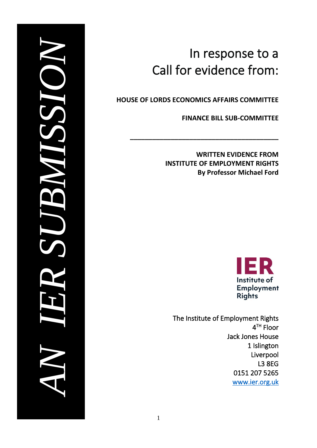# In response to a<br>
Call for evidence from:<br>
HOUSE OF LORDS ECONOMIS AFFAIRS COMMITTEE<br>
FINANCE BILL SUB-COMMITTEE<br>
FINANCE BILL SUB-COMMITTEE<br>
NATTIEN EVIDENCE FROM<br>
INSTITUTE OF EMPLOYMENT RIGHTS<br>
BIG DESCRIPED TO EXAL JOI

# In response to a Call for evidence from:

**HOUSE OF LORDS ECONOMICS AFFAIRS COMMITTEE**

**\_\_\_\_\_\_\_\_\_\_\_\_\_\_\_\_\_\_\_\_\_\_\_\_\_\_\_\_\_\_\_\_\_\_\_\_\_\_\_\_**

**FINANCE BILL SUB-COMMITTEE**

**WRITTEN EVIDENCE FROM INSTITUTE OF EMPLOYMENT RIGHTS By Professor Michael Ford**



The Institute of Employment Rights 4 TH Floor Jack Jones House 1 Islington Liverpool L3 8EG **Call for evidence from:**<br>
HOUSE OF LORDS ECONOMICS AFFAIRS COMMITTEE<br>
FINANCE BILL SUB-COMMITTEE<br>
WRITTEN EVIDENCE FROM<br>
INSTITUTE OF EMPLOYMENT RIGHTS<br>
By Professor Michael Ford<br>
Institute of<br>
Employment Rights<br>
The Inst *INSTITUTE*  **PRIEFING**<br>BRIEFING<br>BRIEFING<br>BRIEFING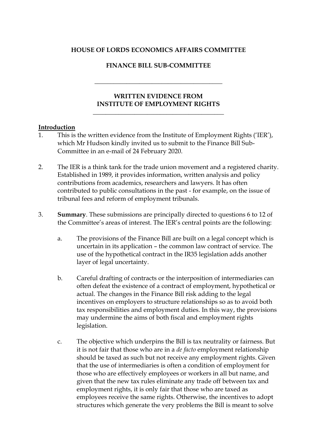### **HOUSE OF LORDS ECONOMICS AFFAIRS COMMITTEE**

### **FINANCE BILL SUB-COMMITTEE**

**\_\_\_\_\_\_\_\_\_\_\_\_\_\_\_\_\_\_\_\_\_\_\_\_\_\_\_\_\_\_\_\_\_\_\_\_\_\_\_\_**

### **WRITTEN EVIDENCE FROM INSTITUTE OF EMPLOYMENT RIGHTS**

**\_\_\_\_\_\_\_\_\_\_\_\_\_\_\_\_\_\_\_\_\_\_\_\_\_\_\_\_\_\_\_\_\_\_\_\_\_\_\_\_\_**

### **Introduction**

- 1. This is the written evidence from the Institute of Employment Rights ('IER'), which Mr Hudson kindly invited us to submit to the Finance Bill Sub-Committee in an e-mail of 24 February 2020.
- 2. The IER is a think tank for the trade union movement and a registered charity. Established in 1989, it provides information, written analysis and policy contributions from academics, researchers and lawyers. It has often contributed to public consultations in the past - for example, on the issue of tribunal fees and reform of employment tribunals.
- 3. **Summary**. These submissions are principally directed to questions 6 to 12 of the Committee's areas of interest. The IER's central points are the following:
	- a. The provisions of the Finance Bill are built on a legal concept which is uncertain in its application – the common law contract of service. The use of the hypothetical contract in the IR35 legislation adds another layer of legal uncertainty.
	- b. Careful drafting of contracts or the interposition of intermediaries can often defeat the existence of a contract of employment, hypothetical or actual. The changes in the Finance Bill risk adding to the legal incentives on employers to structure relationships so as to avoid both tax responsibilities and employment duties. In this way, the provisions may undermine the aims of both fiscal and employment rights legislation.
	- c. The objective which underpins the Bill is tax neutrality or fairness. But it is not fair that those who are in a *de facto* employment relationship should be taxed as such but not receive any employment rights. Given that the use of intermediaries is often a condition of employment for those who are effectively employees or workers in all but name, and given that the new tax rules eliminate any trade off between tax and employment rights, it is only fair that those who are taxed as employees receive the same rights. Otherwise, the incentives to adopt structures which generate the very problems the Bill is meant to solve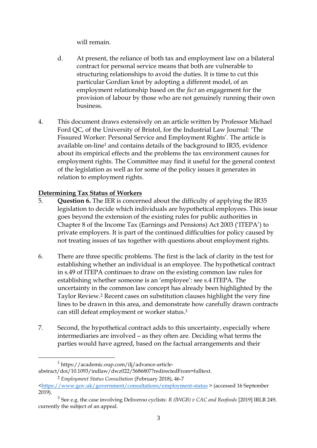will remain.

- d. At present, the reliance of both tax and employment law on a bilateral contract for personal service means that both are vulnerable to structuring relationships to avoid the duties. It is time to cut this particular Gordian knot by adopting a different model, of an employment relationship based on the *fact* an engagement for the provision of labour by those who are not genuinely running their own business.
- 4. This document draws extensively on an article written by Professor Michael Ford QC, of the University of Bristol, for the Industrial Law Journal: 'The Fissured Worker: Personal Service and Employment Rights'. The article is available on-line<sup>1</sup> and contains details of the background to IR35, evidence about its empirical effects and the problems the tax environment causes for employment rights. The Committee may find it useful for the general context of the legislation as well as for some of the policy issues it generates in relation to employment rights.

## **Determining Tax Status of Workers**

- 5. **Question 6.** The IER is concerned about the difficulty of applying the IR35 legislation to decide which individuals are hypothetical employees. This issue goes beyond the extension of the existing rules for public authorities in Chapter 8 of the Income Tax (Earnings and Pensions) Act 2003 ('ITEPA') to private employers. It is part of the continued difficulties for policy caused by not treating issues of tax together with questions about employment rights.
- 6. There are three specific problems. The first is the lack of clarity in the test for establishing whether an individual is an employee. The hypothetical contract in s.49 of ITEPA continues to draw on the existing common law rules for establishing whether someone is an 'employee': see s.4 ITEPA. The uncertainty in the common law concept has already been highlighted by the Taylor Review. <sup>2</sup> Recent cases on substitution clauses highlight the very fine lines to be drawn in this area, and demonstrate how carefully drawn contracts can still defeat employment or worker status.<sup>3</sup>
- 7. Second, the hypothetical contract adds to this uncertainty, especially where intermediaries are involved – as they often are. Deciding what terms the parties would have agreed, based on the factual arrangements and their

<sup>1</sup> https://academic.oup.com/ilj/advance-articleabstract/doi/10.1093/indlaw/dwz022/5686807?redirectedFrom=fulltext.

<sup>2</sup> *Employment Status Consultation* (February 2018), 46-7

[<sup>&</sup>lt;https://www.gov.uk/government/consultations/employment-status](https://www.gov.uk/government/consultations/employment-status) > (accessed 16 September 2019).

<sup>3</sup> See e.g. the case involving Deliveroo cyclists: *R (IWGB) v CAC and Roofoods* [2019] IRLR 249, currently the subject of an appeal.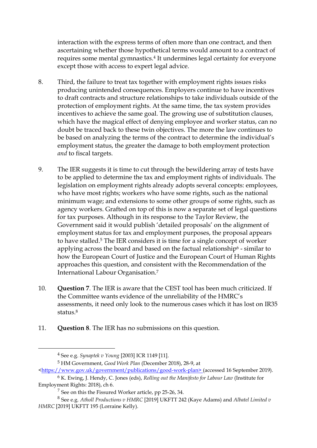interaction with the express terms of often more than one contract, and then ascertaining whether those hypothetical terms would amount to a contract of requires some mental gymnastics. <sup>4</sup> It undermines legal certainty for everyone except those with access to expert legal advice.

- 8. Third, the failure to treat tax together with employment rights issues risks producing unintended consequences. Employers continue to have incentives to draft contracts and structure relationships to take individuals outside of the protection of employment rights. At the same time, the tax system provides incentives to achieve the same goal. The growing use of substitution clauses, which have the magical effect of denying employee and worker status, can no doubt be traced back to these twin objectives. The more the law continues to be based on analyzing the terms of the contract to determine the individual's employment status, the greater the damage to both employment protection *and* to fiscal targets.
- 9. The IER suggests it is time to cut through the bewildering array of tests have to be applied to determine the tax and employment rights of individuals. The legislation on employment rights already adopts several concepts: employees, who have most rights; workers who have some rights, such as the national minimum wage; and extensions to some other groups of some rights, such as agency workers. Grafted on top of this is now a separate set of legal questions for tax purposes. Although in its response to the Taylor Review, the Government said it would publish 'detailed proposals' on the alignment of employment status for tax and employment purposes, the proposal appears to have stalled. <sup>5</sup> The IER considers it is time for a single concept of worker applying across the board and based on the factual relationship<sup>6</sup> - similar to how the European Court of Justice and the European Court of Human Rights approaches this question, and consistent with the Recommendation of the International Labour Organisation.<sup>7</sup>
- 10. **Question 7**. The IER is aware that the CEST tool has been much criticized. If the Committee wants evidence of the unreliability of the HMRC's assessments, it need only look to the numerous cases which it has lost on IR35 status.<sup>8</sup>
- 11. **Question 8**. The IER has no submissions on this question.

<sup>4</sup> See e.g. *Synaptek v Young* [2003] ICR 1149 [11].

<sup>5</sup> HM Government, *Good Work Plan* (December 2018), 28-9, at [<https://www.gov.uk/government/publications/good-work-plan>](https://www.gov.uk/government/publications/good-work-plan) (accessed 16 September 2019).

<sup>6</sup> K. Ewing, J. Hendy, C. Jones (eds), *Rolling out the Manifesto for Labour Law* (Institute for Employment Rights: 2018), ch 6.

 $7$  See on this the Fissured Worker article, pp 25-26, 34.

<sup>8</sup> See e.g. *Atholl Productions v HMRC* [2019] UKFTT 242 (Kaye Adams) and *Albatel Limited v HMRC* [2019] UKFTT 195 (Lorraine Kelly).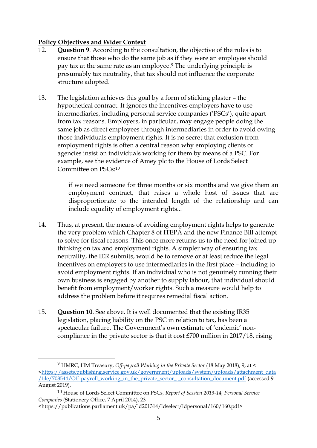### **Policy Objectives and Wider Context**

- 12. **Question 9**. According to the consultation, the objective of the rules is to ensure that those who do the same job as if they were an employee should pay tax at the same rate as an employee.<sup>9</sup> The underlying principle is presumably tax neutrality, that tax should not influence the corporate structure adopted.
- 13. The legislation achieves this goal by a form of sticking plaster the hypothetical contract. It ignores the incentives employers have to use intermediaries, including personal service companies ('PSCs'), quite apart from tax reasons. Employers, in particular, may engage people doing the same job as direct employees through intermediaries in order to avoid owing those individuals employment rights. It is no secret that exclusion from employment rights is often a central reason why employing clients or agencies insist on individuals working for them by means of a PSC. For example, see the evidence of Amey plc to the House of Lords Select Committee on PSCs:<sup>10</sup>

if we need someone for three months or six months and we give them an employment contract, that raises a whole host of issues that are disproportionate to the intended length of the relationship and can include equality of employment rights...

- 14. Thus, at present, the means of avoiding employment rights helps to generate the very problem which Chapter 8 of ITEPA and the new Finance Bill attempt to solve for fiscal reasons. This once more returns us to the need for joined up thinking on tax and employment rights. A simpler way of ensuring tax neutrality, the IER submits, would be to remove or at least reduce the legal incentives on employers to use intermediaries in the first place – including to avoid employment rights. If an individual who is not genuinely running their own business is engaged by another to supply labour, that individual should benefit from employment/worker rights. Such a measure would help to address the problem before it requires remedial fiscal action.
- 15. **Question 10**. See above. It is well documented that the existing IR35 legislation, placing liability on the PSC in relation to tax, has been a spectacular failure. The Government's own estimate of 'endemic' noncompliance in the private sector is that it cost £700 million in 2017/18, rising

<sup>9</sup> HMRC, HM Treasury, *Off-payroll Working in the Private Sector* (18 May 2018), 9, at < [<https://assets.publishing.service.gov.uk/government/uploads/system/uploads/attachment\\_data](https://assets.publishing.service.gov.uk/government/uploads/system/uploads/attachment_data/file/708544/Off-payroll_working_in_the_private_sector_-_consultation_document.pdf) [/file/708544/Off-payroll\\_working\\_in\\_the\\_private\\_sector\\_-\\_consultation\\_document.pdf](https://assets.publishing.service.gov.uk/government/uploads/system/uploads/attachment_data/file/708544/Off-payroll_working_in_the_private_sector_-_consultation_document.pdf) (accessed 9 August 2019).

<sup>10</sup> House of Lords Select Committee on PSCs, *Report of Session 2013-14, Personal Service Companies* (Stationery Office, 7 April 2014), 23

<sup>&</sup>lt;https://publications.parliament.uk/pa/ld201314/ldselect/ldpersonal/160/160.pdf>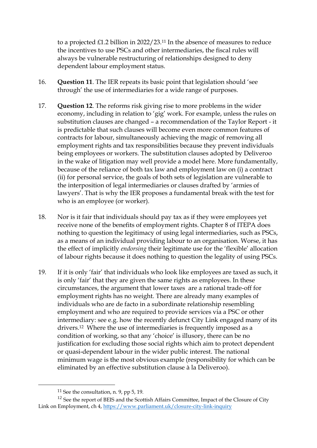to a projected £1.2 billion in 2022/23.<sup>11</sup> In the absence of measures to reduce the incentives to use PSCs and other intermediaries, the fiscal rules will always be vulnerable restructuring of relationships designed to deny dependent labour employment status.

- 16. **Question 11**. The IER repeats its basic point that legislation should 'see through' the use of intermediaries for a wide range of purposes.
- 17. **Question 12**. The reforms risk giving rise to more problems in the wider economy, including in relation to 'gig' work. For example, unless the rules on substitution clauses are changed – a recommendation of the Taylor Report - it is predictable that such clauses will become even more common features of contracts for labour, simultaneously achieving the magic of removing all employment rights and tax responsibilities because they prevent individuals being employees or workers. The substitution clauses adopted by Deliveroo in the wake of litigation may well provide a model here. More fundamentally, because of the reliance of both tax law and employment law on (i) a contract (ii) for personal service, the goals of both sets of legislation are vulnerable to the interposition of legal intermediaries or clauses drafted by 'armies of lawyers'. That is why the IER proposes a fundamental break with the test for who is an employee (or worker).
- 18. Nor is it fair that individuals should pay tax as if they were employees yet receive none of the benefits of employment rights. Chapter 8 of ITEPA does nothing to question the legitimacy of using legal intermediaries, such as PSCs, as a means of an individual providing labour to an organisation. Worse, it has the effect of implicitly *endorsing* their legitimate use for the 'flexible' allocation of labour rights because it does nothing to question the legality of using PSCs.
- 19. If it is only 'fair' that individuals who look like employees are taxed as such, it is only 'fair' that they are given the same rights as employees. In these circumstances, the argument that lower taxes are a rational trade-off for employment rights has no weight. There are already many examples of individuals who are de facto in a subordinate relationship resembling employment and who are required to provide services via a PSC or other intermediary: see e.g. how the recently defunct City Link engaged many of its drivers.12 Where the use of intermediaries is frequently imposed as a condition of working, so that any 'choice' is illusory, there can be no justification for excluding those social rights which aim to protect dependent or quasi-dependent labour in the wider public interest. The national minimum wage is the most obvious example (responsibility for which can be eliminated by an effective substitution clause à la Deliveroo).

<sup>&</sup>lt;sup>11</sup> See the consultation, n. 9, pp  $5$ , 19.

<sup>&</sup>lt;sup>12</sup> See the report of BEIS and the Scottish Affairs Committee, Impact of the Closure of City Link on Employment, ch 4,<https://www.parliament.uk/closure-city-link-inquiry>